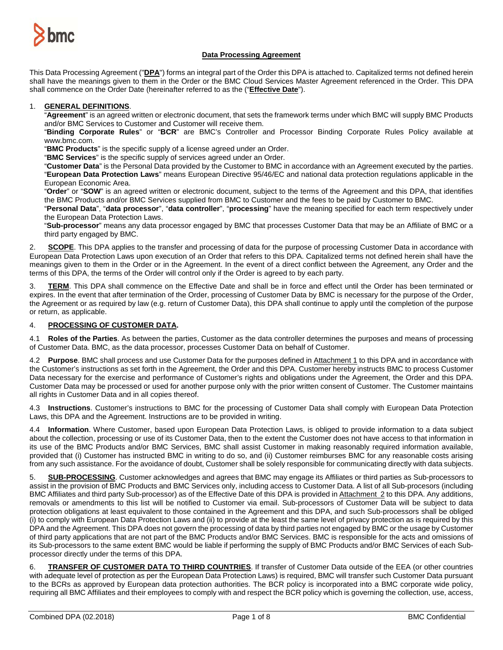

### **Data Processing Agreement**

This Data Processing Agreement ("**DPA**") forms an integral part of the Order this DPA is attached to. Capitalized terms not defined herein shall have the meanings given to them in the Order or the BMC Cloud Services Master Agreement referenced in the Order. This DPA shall commence on the Order Date (hereinafter referred to as the ("**Effective Date**").

### 1. **GENERAL DEFINITIONS**.

"**Agreement**" is an agreed written or electronic document, that sets the framework terms under which BMC will supply BMC Products and/or BMC Services to Customer and Customer will receive them.

"**Binding Corporate Rules**" or "**BCR**" are BMC's Controller and Processor Binding Corporate Rules Policy available at www.bmc.com.

"**BMC Products**" is the specific supply of a license agreed under an Order.

"**BMC Services**" is the specific supply of services agreed under an Order.

"**Customer Data**" is the Personal Data provided by the Customer to BMC in accordance with an Agreement executed by the parties. "**European Data Protection Laws**" means European Directive 95/46/EC and national data protection regulations applicable in the European Economic Area.

"**Order**" or "**SOW**" is an agreed written or electronic document, subject to the terms of the Agreement and this DPA, that identifies the BMC Products and/or BMC Services supplied from BMC to Customer and the fees to be paid by Customer to BMC.

"**Personal Data**", "**data processor**", "**data controller**", "**processing**" have the meaning specified for each term respectively under the European Data Protection Laws.

"**Sub-processor**" means any data processor engaged by BMC that processes Customer Data that may be an Affiliate of BMC or a third party engaged by BMC.

2. **SCOPE**. This DPA applies to the transfer and processing of data for the purpose of processing Customer Data in accordance with European Data Protection Laws upon execution of an Order that refers to this DPA. Capitalized terms not defined herein shall have the meanings given to them in the Order or in the Agreement. In the event of a direct conflict between the Agreement, any Order and the terms of this DPA, the terms of the Order will control only if the Order is agreed to by each party.

3. **TERM**. This DPA shall commence on the Effective Date and shall be in force and effect until the Order has been terminated or expires. In the event that after termination of the Order, processing of Customer Data by BMC is necessary for the purpose of the Order, the Agreement or as required by law (e.g. return of Customer Data), this DPA shall continue to apply until the completion of the purpose or return, as applicable.

### 4. **PROCESSING OF CUSTOMER DATA.**

4.1 **Roles of the Parties**. As between the parties, Customer as the data controller determines the purposes and means of processing of Customer Data. BMC, as the data processor, processes Customer Data on behalf of Customer.

4.2 **Purpose**. BMC shall process and use Customer Data for the purposes defined in Attachment 1 to this DPA and in accordance with the Customer's instructions as set forth in the Agreement, the Order and this DPA. Customer hereby instructs BMC to process Customer Data necessary for the exercise and performance of Customer's rights and obligations under the Agreement, the Order and this DPA. Customer Data may be processed or used for another purpose only with the prior written consent of Customer. The Customer maintains all rights in Customer Data and in all copies thereof.

4.3 **Instructions**. Customer's instructions to BMC for the processing of Customer Data shall comply with European Data Protection Laws, this DPA and the Agreement. Instructions are to be provided in writing.

4.4 **Information**. Where Customer, based upon European Data Protection Laws, is obliged to provide information to a data subject about the collection, processing or use of its Customer Data, then to the extent the Customer does not have access to that information in its use of the BMC Products and/or BMC Services, BMC shall assist Customer in making reasonably required information available, provided that (i) Customer has instructed BMC in writing to do so, and (ii) Customer reimburses BMC for any reasonable costs arising from any such assistance. For the avoidance of doubt, Customer shall be solely responsible for communicating directly with data subjects.

5. **SUB-PROCESSING**. Customer acknowledges and agrees that BMC may engage its Affiliates or third parties as Sub-processors to assist in the provision of BMC Products and BMC Services only, including access to Customer Data. A list of all Sub-procesors (including BMC Affiliates and third party Sub-processor) as of the Effective Date of this DPA is provided in Attachment 2 to this DPA. Any additions, removals or amendments to this list will be notified to Customer via email. Sub-processors of Customer Data will be subject to data protection obligations at least equivalent to those contained in the Agreement and this DPA, and such Sub-processors shall be obliged (i) to comply with European Data Protection Laws and (ii) to provide at the least the same level of privacy protection as is required by this DPA and the Agreement. This DPA does not govern the processing of data by third parties not engaged by BMC or the usage by Customer of third party applications that are not part of the BMC Products and/or BMC Services. BMC is responsible for the acts and omissions of its Sub-processors to the same extent BMC would be liable if performing the supply of BMC Products and/or BMC Services of each Subprocessor directly under the terms of this DPA.

6. **TRANSFER OF CUSTOMER DATA TO THIRD COUNTRIES**. If transfer of Customer Data outside of the EEA (or other countries with adequate level of protection as per the European Data Protection Laws) is required, BMC will transfer such Customer Data pursuant to the BCRs as approved by European data protection authorities. The BCR policy is incorporated into a BMC corporate wide policy, requiring all BMC Affiliates and their employees to comply with and respect the BCR policy which is governing the collection, use, access,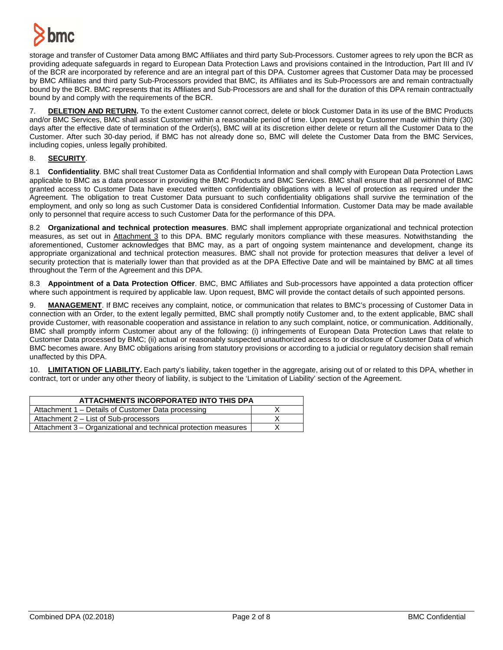

storage and transfer of Customer Data among BMC Affiliates and third party Sub-Processors. Customer agrees to rely upon the BCR as providing adequate safeguards in regard to European Data Protection Laws and provisions contained in the Introduction, Part III and IV of the BCR are incorporated by reference and are an integral part of this DPA. Customer agrees that Customer Data may be processed by BMC Affiliates and third party Sub-Processors provided that BMC, its Affiliates and its Sub-Processors are and remain contractually bound by the BCR. BMC represents that its Affiliates and Sub-Processors are and shall for the duration of this DPA remain contractually bound by and comply with the requirements of the BCR.

7. **DELETION AND RETURN.** To the extent Customer cannot correct, delete or block Customer Data in its use of the BMC Products and/or BMC Services, BMC shall assist Customer within a reasonable period of time. Upon request by Customer made within thirty (30) days after the effective date of termination of the Order(s), BMC will at its discretion either delete or return all the Customer Data to the Customer. After such 30-day period, if BMC has not already done so, BMC will delete the Customer Data from the BMC Services, including copies, unless legally prohibited.

## 8. **SECURITY**.

8.1 **Confidentiality**. BMC shall treat Customer Data as Confidential Information and shall comply with European Data Protection Laws applicable to BMC as a data processor in providing the BMC Products and BMC Services. BMC shall ensure that all personnel of BMC granted access to Customer Data have executed written confidentiality obligations with a level of protection as required under the Agreement. The obligation to treat Customer Data pursuant to such confidentiality obligations shall survive the termination of the employment, and only so long as such Customer Data is considered Confidential Information. Customer Data may be made available only to personnel that require access to such Customer Data for the performance of this DPA.

8.2 **Organizational and technical protection measures**. BMC shall implement appropriate organizational and technical protection measures, as set out in Attachment 3 to this DPA. BMC regularly monitors compliance with these measures. Notwithstanding the aforementioned, Customer acknowledges that BMC may, as a part of ongoing system maintenance and development, change its appropriate organizational and technical protection measures. BMC shall not provide for protection measures that deliver a level of security protection that is materially lower than that provided as at the DPA Effective Date and will be maintained by BMC at all times throughout the Term of the Agreement and this DPA.

8.3 **Appointment of a Data Protection Officer**. BMC, BMC Affiliates and Sub-processors have appointed a data protection officer where such appointment is required by applicable law. Upon request, BMC will provide the contact details of such appointed persons.

9. **MANAGEMENT**. If BMC receives any complaint, notice, or communication that relates to BMC's processing of Customer Data in connection with an Order, to the extent legally permitted, BMC shall promptly notify Customer and, to the extent applicable, BMC shall provide Customer, with reasonable cooperation and assistance in relation to any such complaint, notice, or communication. Additionally, BMC shall promptly inform Customer about any of the following: (i) infringements of European Data Protection Laws that relate to Customer Data processed by BMC; (ii) actual or reasonably suspected unauthorized access to or disclosure of Customer Data of which BMC becomes aware. Any BMC obligations arising from statutory provisions or according to a judicial or regulatory decision shall remain unaffected by this DPA.

10. **LIMITATION OF LIABILITY.** Each party's liability, taken together in the aggregate, arising out of or related to this DPA, whether in contract, tort or under any other theory of liability, is subject to the 'Limitation of Liability' section of the Agreement.

| ATTACHMENTS INCORPORATED INTO THIS DPA                          |  |  |
|-----------------------------------------------------------------|--|--|
| Attachment 1 – Details of Customer Data processing              |  |  |
| Attachment 2 – List of Sub-processors                           |  |  |
| Attachment 3 – Organizational and technical protection measures |  |  |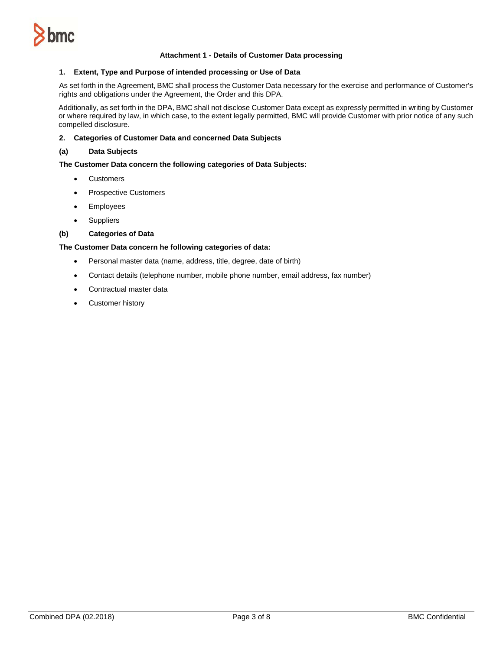

### **Attachment 1 - Details of Customer Data processing**

#### **1. Extent, Type and Purpose of intended processing or Use of Data**

As set forth in the Agreement, BMC shall process the Customer Data necessary for the exercise and performance of Customer's rights and obligations under the Agreement, the Order and this DPA.

Additionally, as set forth in the DPA, BMC shall not disclose Customer Data except as expressly permitted in writing by Customer or where required by law, in which case, to the extent legally permitted, BMC will provide Customer with prior notice of any such compelled disclosure.

### **2. Categories of Customer Data and concerned Data Subjects**

### **(a) Data Subjects**

### **The Customer Data concern the following categories of Data Subjects:**

- Customers
- Prospective Customers
- Employees
- Suppliers

### **(b) Categories of Data**

### **The Customer Data concern he following categories of data:**

- Personal master data (name, address, title, degree, date of birth)
- Contact details (telephone number, mobile phone number, email address, fax number)
- Contractual master data
- Customer history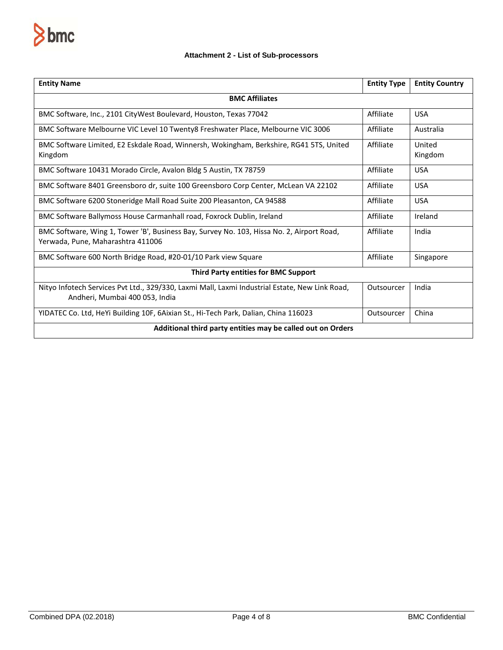

# **Attachment 2 - List of Sub-processors**

| <b>Entity Name</b>                                                                                                               | <b>Entity Type</b> | <b>Entity Country</b> |  |
|----------------------------------------------------------------------------------------------------------------------------------|--------------------|-----------------------|--|
| <b>BMC Affiliates</b>                                                                                                            |                    |                       |  |
| BMC Software, Inc., 2101 CityWest Boulevard, Houston, Texas 77042                                                                | Affiliate          | <b>USA</b>            |  |
| BMC Software Melbourne VIC Level 10 Twenty8 Freshwater Place, Melbourne VIC 3006                                                 | Affiliate          | Australia             |  |
| BMC Software Limited, E2 Eskdale Road, Winnersh, Wokingham, Berkshire, RG41 5TS, United<br>Kingdom                               | Affiliate          | United<br>Kingdom     |  |
| BMC Software 10431 Morado Circle, Avalon Bldg 5 Austin, TX 78759                                                                 | Affiliate          | <b>USA</b>            |  |
| BMC Software 8401 Greensboro dr, suite 100 Greensboro Corp Center, McLean VA 22102                                               | Affiliate          | <b>USA</b>            |  |
| BMC Software 6200 Stoneridge Mall Road Suite 200 Pleasanton, CA 94588                                                            | Affiliate          | <b>USA</b>            |  |
| BMC Software Ballymoss House Carmanhall road, Foxrock Dublin, Ireland                                                            | Affiliate          | Ireland               |  |
| BMC Software, Wing 1, Tower 'B', Business Bay, Survey No. 103, Hissa No. 2, Airport Road,<br>Yerwada, Pune, Maharashtra 411006   | Affiliate          | India                 |  |
| BMC Software 600 North Bridge Road, #20-01/10 Park view Square                                                                   | Affiliate          | Singapore             |  |
| <b>Third Party entities for BMC Support</b>                                                                                      |                    |                       |  |
| Nityo Infotech Services Pvt Ltd., 329/330, Laxmi Mall, Laxmi Industrial Estate, New Link Road,<br>Andheri, Mumbai 400 053, India | Outsourcer         | India                 |  |
| YIDATEC Co. Ltd, HeYi Building 10F, 6Aixian St., Hi-Tech Park, Dalian, China 116023                                              | Outsourcer         | China                 |  |
| Additional third party entities may be called out on Orders                                                                      |                    |                       |  |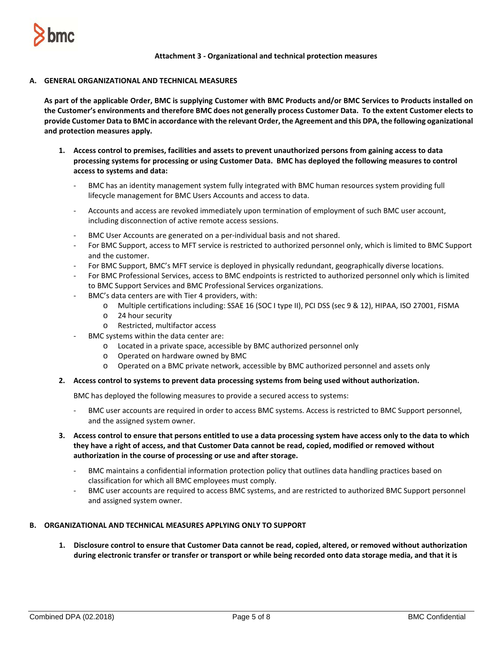

### **Attachment 3 - Organizational and technical protection measures**

## **A. GENERAL ORGANIZATIONAL AND TECHNICAL MEASURES**

**As part of the applicable Order, BMC is supplying Customer with BMC Products and/or BMC Services to Products installed on the Customer's environments and therefore BMC does not generally process Customer Data. To the extent Customer elects to provide Customer Data to BMC in accordance with the relevant Order, the Agreement and this DPA, the following oganizational and protection measures apply.** 

- **1. Access control to premises, facilities and assets to prevent unauthorized persons from gaining access to data processing systems for processing or using Customer Data. BMC has deployed the following measures to control access to systems and data:**
	- BMC has an identity management system fully integrated with BMC human resources system providing full lifecycle management for BMC Users Accounts and access to data.
	- Accounts and access are revoked immediately upon termination of employment of such BMC user account, including disconnection of active remote access sessions.
	- BMC User Accounts are generated on a per-individual basis and not shared.
	- For BMC Support, access to MFT service is restricted to authorized personnel only, which is limited to BMC Support and the customer.
	- For BMC Support, BMC's MFT service is deployed in physically redundant, geographically diverse locations.
	- For BMC Professional Services, access to BMC endpoints is restricted to authorized personnel only which is limited to BMC Support Services and BMC Professional Services organizations.
	- BMC's data centers are with Tier 4 providers, with:
		- o Multiple certifications including: SSAE 16 (SOC I type II), PCI DSS (sec 9 & 12), HIPAA, ISO 27001, FISMA
		- o 24 hour security
		- o Restricted, multifactor access
		- BMC systems within the data center are:
			- o Located in a private space, accessible by BMC authorized personnel only
			- o Operated on hardware owned by BMC
			- o Operated on a BMC private network, accessible by BMC authorized personnel and assets only

### **2. Access control to systems to prevent data processing systems from being used without authorization.**

BMC has deployed the following measures to provide a secured access to systems:

- BMC user accounts are required in order to access BMC systems. Access is restricted to BMC Support personnel, and the assigned system owner.
- **3. Access control to ensure that persons entitled to use a data processing system have access only to the data to which they have a right of access, and that Customer Data cannot be read, copied, modified or removed without authorization in the course of processing or use and after storage.**
	- BMC maintains a confidential information protection policy that outlines data handling practices based on classification for which all BMC employees must comply.
	- BMC user accounts are required to access BMC systems, and are restricted to authorized BMC Support personnel and assigned system owner.

## **B. ORGANIZATIONAL AND TECHNICAL MEASURES APPLYING ONLY TO SUPPORT**

**1. Disclosure control to ensure that Customer Data cannot be read, copied, altered, or removed without authorization during electronic transfer or transfer or transport or while being recorded onto data storage media, and that it is**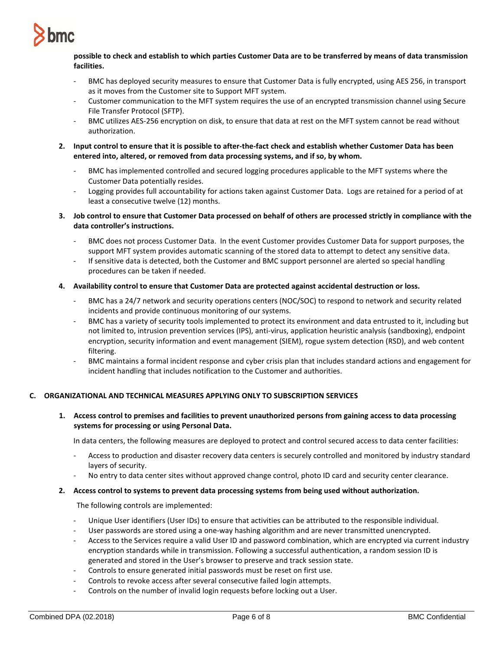

## **possible to check and establish to which parties Customer Data are to be transferred by means of data transmission facilities.**

- BMC has deployed security measures to ensure that Customer Data is fully encrypted, using AES 256, in transport as it moves from the Customer site to Support MFT system.
- Customer communication to the MFT system requires the use of an encrypted transmission channel using Secure File Transfer Protocol (SFTP).
- BMC utilizes AES-256 encryption on disk, to ensure that data at rest on the MFT system cannot be read without authorization.
- **2. Input control to ensure that it is possible to after-the-fact check and establish whether Customer Data has been entered into, altered, or removed from data processing systems, and if so, by whom.**
	- BMC has implemented controlled and secured logging procedures applicable to the MFT systems where the Customer Data potentially resides.
	- Logging provides full accountability for actions taken against Customer Data. Logs are retained for a period of at least a consecutive twelve (12) months.
- **3. Job control to ensure that Customer Data processed on behalf of others are processed strictly in compliance with the data controller's instructions.**
	- BMC does not process Customer Data. In the event Customer provides Customer Data for support purposes, the support MFT system provides automatic scanning of the stored data to attempt to detect any sensitive data.
	- If sensitive data is detected, both the Customer and BMC support personnel are alerted so special handling procedures can be taken if needed.

## **4. Availability control to ensure that Customer Data are protected against accidental destruction or loss.**

- BMC has a 24/7 network and security operations centers (NOC/SOC) to respond to network and security related incidents and provide continuous monitoring of our systems.
- BMC has a variety of security tools implemented to protect its environment and data entrusted to it, including but not limited to, intrusion prevention services (IPS), anti-virus, application heuristic analysis (sandboxing), endpoint encryption, security information and event management (SIEM), rogue system detection (RSD), and web content filtering.
- BMC maintains a formal incident response and cyber crisis plan that includes standard actions and engagement for incident handling that includes notification to the Customer and authorities.

## **C. ORGANIZATIONAL AND TECHNICAL MEASURES APPLYING ONLY TO SUBSCRIPTION SERVICES**

**1. Access control to premises and facilities to prevent unauthorized persons from gaining access to data processing systems for processing or using Personal Data.**

In data centers, the following measures are deployed to protect and control secured access to data center facilities:

- Access to production and disaster recovery data centers is securely controlled and monitored by industry standard layers of security.
- No entry to data center sites without approved change control, photo ID card and security center clearance.

## **2. Access control to systems to prevent data processing systems from being used without authorization.**

The following controls are implemented:

- Unique User identifiers (User IDs) to ensure that activities can be attributed to the responsible individual.
- User passwords are stored using a one-way hashing algorithm and are never transmitted unencrypted.
- Access to the Services require a valid User ID and password combination, which are encrypted via current industry encryption standards while in transmission. Following a successful authentication, a random session ID is generated and stored in the User's browser to preserve and track session state.
- Controls to ensure generated initial passwords must be reset on first use.
- Controls to revoke access after several consecutive failed login attempts.
- Controls on the number of invalid login requests before locking out a User.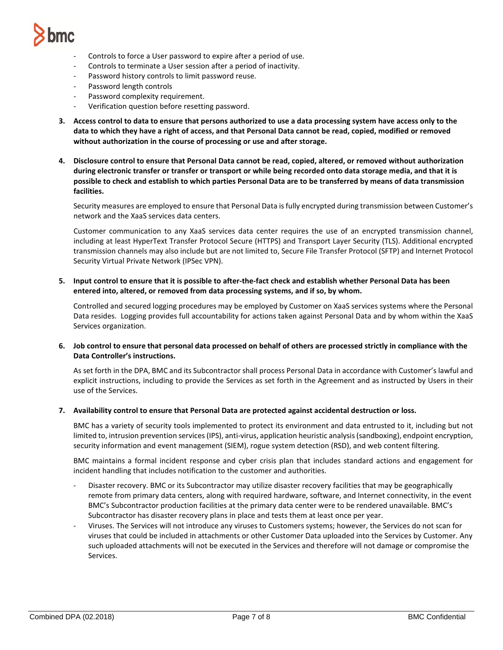

- Controls to force a User password to expire after a period of use.
- Controls to terminate a User session after a period of inactivity.
- Password history controls to limit password reuse.
- Password length controls
- Password complexity requirement.
- Verification question before resetting password.
- **3. Access control to data to ensure that persons authorized to use a data processing system have access only to the data to which they have a right of access, and that Personal Data cannot be read, copied, modified or removed without authorization in the course of processing or use and after storage.**
- **4. Disclosure control to ensure that Personal Data cannot be read, copied, altered, or removed without authorization during electronic transfer or transfer or transport or while being recorded onto data storage media, and that it is possible to check and establish to which parties Personal Data are to be transferred by means of data transmission facilities.**

Security measures are employed to ensure that Personal Data is fully encrypted during transmission between Customer's network and the XaaS services data centers.

Customer communication to any XaaS services data center requires the use of an encrypted transmission channel, including at least HyperText Transfer Protocol Secure (HTTPS) and Transport Layer Security (TLS). Additional encrypted transmission channels may also include but are not limited to, Secure File Transfer Protocol (SFTP) and Internet Protocol Security Virtual Private Network (IPSec VPN).

**5. Input control to ensure that it is possible to after-the-fact check and establish whether Personal Data has been entered into, altered, or removed from data processing systems, and if so, by whom.**

Controlled and secured logging procedures may be employed by Customer on XaaS services systems where the Personal Data resides. Logging provides full accountability for actions taken against Personal Data and by whom within the XaaS Services organization.

**6. Job control to ensure that personal data processed on behalf of others are processed strictly in compliance with the Data Controller's instructions.**

As set forth in the DPA, BMC and its Subcontractor shall process Personal Data in accordance with Customer's lawful and explicit instructions, including to provide the Services as set forth in the Agreement and as instructed by Users in their use of the Services.

**7. Availability control to ensure that Personal Data are protected against accidental destruction or loss.**

BMC has a variety of security tools implemented to protect its environment and data entrusted to it, including but not limited to, intrusion prevention services (IPS), anti-virus, application heuristic analysis (sandboxing), endpoint encryption, security information and event management (SIEM), rogue system detection (RSD), and web content filtering.

BMC maintains a formal incident response and cyber crisis plan that includes standard actions and engagement for incident handling that includes notification to the customer and authorities.

- Disaster recovery. BMC or its Subcontractor may utilize disaster recovery facilities that may be geographically remote from primary data centers, along with required hardware, software, and Internet connectivity, in the event BMC's Subcontractor production facilities at the primary data center were to be rendered unavailable. BMC's Subcontractor has disaster recovery plans in place and tests them at least once per year.
- Viruses. The Services will not introduce any viruses to Customers systems; however, the Services do not scan for viruses that could be included in attachments or other Customer Data uploaded into the Services by Customer. Any such uploaded attachments will not be executed in the Services and therefore will not damage or compromise the Services.